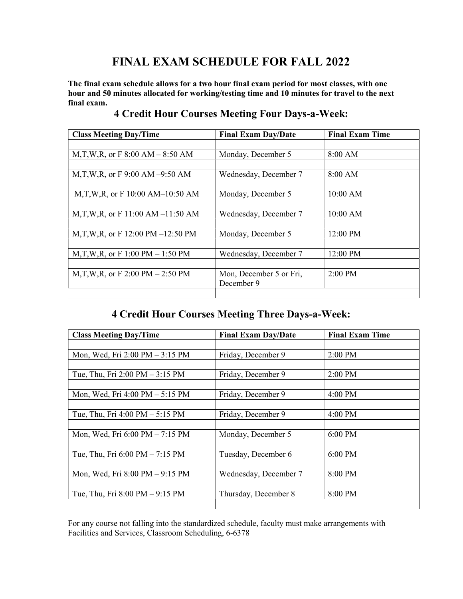# FINAL EXAM SCHEDULE FOR FALL 2022

The final exam schedule allows for a two hour final exam period for most classes, with one hour and 50 minutes allocated for working/testing time and 10 minutes for travel to the next final exam.

| <b>Class Meeting Day/Time</b>      | <b>Final Exam Day/Date</b> | <b>Final Exam Time</b> |
|------------------------------------|----------------------------|------------------------|
|                                    |                            |                        |
| M,T,W,R, or F 8:00 AM $-$ 8:50 AM  | Monday, December 5         | 8:00 AM                |
|                                    |                            |                        |
| M,T,W,R, or F $9:00$ AM $-9:50$ AM | Wednesday, December 7      | 8:00 AM                |
|                                    |                            |                        |
| M,T,W,R, or F 10:00 AM-10:50 AM    | Monday, December 5         | 10:00 AM               |
|                                    |                            |                        |
| M,T,W,R, or F 11:00 AM $-11:50$ AM | Wednesday, December 7      | 10:00 AM               |
|                                    |                            |                        |
| M,T,W,R, or F 12:00 PM -12:50 PM   | Monday, December 5         | 12:00 PM               |
|                                    |                            |                        |
| M,T,W,R, or F 1:00 PM $-$ 1:50 PM  | Wednesday, December 7      | 12:00 PM               |
|                                    |                            |                        |
| M,T,W,R, or F 2:00 PM $-$ 2:50 PM  | Mon, December 5 or Fri,    | $2:00$ PM              |
|                                    | December 9                 |                        |
|                                    |                            |                        |

#### 4 Credit Hour Courses Meeting Four Days-a-Week:

#### 4 Credit Hour Courses Meeting Three Days-a-Week:

| <b>Class Meeting Day/Time</b>                     | <b>Final Exam Day/Date</b> | <b>Final Exam Time</b> |
|---------------------------------------------------|----------------------------|------------------------|
|                                                   |                            |                        |
| Mon, Wed, Fri $2:00 \text{ PM} - 3:15 \text{ PM}$ | Friday, December 9         | 2:00 PM                |
|                                                   |                            |                        |
| Tue, Thu, Fri 2:00 PM $-$ 3:15 PM                 | Friday, December 9         | 2:00 PM                |
|                                                   |                            |                        |
| Mon, Wed, Fri 4:00 PM - 5:15 PM                   | Friday, December 9         | 4:00 PM                |
|                                                   |                            |                        |
| Tue, Thu, Fri $4:00 \text{ PM} - 5:15 \text{ PM}$ | Friday, December 9         | 4:00 PM                |
|                                                   |                            |                        |
| Mon, Wed, Fri 6:00 PM - 7:15 PM                   | Monday, December 5         | 6:00 PM                |
|                                                   |                            |                        |
| Tue, Thu, Fri $6:00 \text{ PM} - 7:15 \text{ PM}$ | Tuesday, December 6        | 6:00 PM                |
|                                                   |                            |                        |
| Mon, Wed, Fri 8:00 PM - 9:15 PM                   | Wednesday, December 7      | 8:00 PM                |
|                                                   |                            |                        |
| Tue, Thu, Fri $8:00 \text{ PM} - 9:15 \text{ PM}$ | Thursday, December 8       | 8:00 PM                |
|                                                   |                            |                        |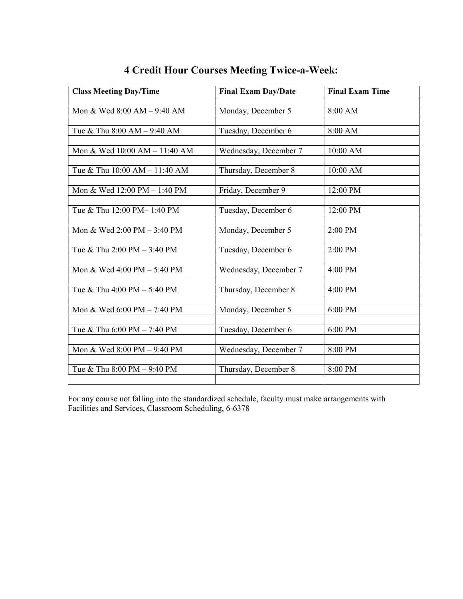| <b>Class Meeting Day/Time</b> | <b>Final Exam Day/Date</b> | <b>Final Exam Time</b> |
|-------------------------------|----------------------------|------------------------|
|                               |                            |                        |
| Mon & Wed 8:00 AM - 9:40 AM   | Monday, December 5         | 8:00 AM                |
|                               |                            |                        |
| Tue & Thu 8:00 AM - 9:40 AM   | Tuesday, December 6        | 8:00 AM                |
|                               |                            |                        |
| Mon & Wed 10:00 AM - 11:40 AM | Wednesday, December 7      | 10:00 AM               |
|                               |                            |                        |
| Tue & Thu 10:00 AM - 11:40 AM | Thursday, December 8       | 10:00 AM               |
| Mon & Wed 12:00 PM - 1:40 PM  | Friday, December 9         | 12:00 PM               |
|                               |                            |                        |
| Tue & Thu 12:00 PM-1:40 PM    | Tuesday, December 6        | 12:00 PM               |
|                               |                            |                        |
| Mon & Wed 2:00 PM - 3:40 PM   | Monday, December 5         | 2:00 PM                |
|                               |                            |                        |
| Tue & Thu 2:00 PM - 3:40 PM   | Tuesday, December 6        | 2:00 PM                |
|                               |                            |                        |
| Mon & Wed 4:00 PM - 5:40 PM   | Wednesday, December 7      | 4:00 PM                |
|                               |                            |                        |
| Tue & Thu 4:00 PM - 5:40 PM   | Thursday, December 8       | 4:00 PM                |
|                               |                            |                        |
| Mon & Wed 6:00 PM - 7:40 PM   | Monday, December 5         | 6:00 PM                |
| Tue & Thu 6:00 PM - 7:40 PM   | Tuesday, December 6        | 6:00 PM                |
|                               |                            |                        |
| Mon & Wed 8:00 PM - 9:40 PM   | Wednesday, December 7      | 8:00 PM                |
|                               |                            |                        |
| Tue & Thu 8:00 PM - 9:40 PM   | Thursday, December 8       | 8:00 PM                |
|                               |                            |                        |

### 4 Credit Hour Courses Meeting Twice-a-Week: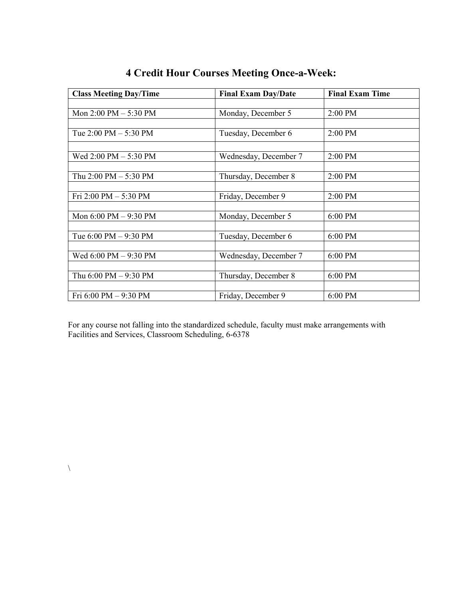| <b>Class Meeting Day/Time</b>           | <b>Final Exam Day/Date</b> | <b>Final Exam Time</b> |
|-----------------------------------------|----------------------------|------------------------|
|                                         |                            |                        |
| Mon 2:00 PM - 5:30 PM                   | Monday, December 5         | 2:00 PM                |
|                                         |                            |                        |
| Tue $2:00 \text{ PM} - 5:30 \text{ PM}$ | Tuesday, December 6        | $2:00$ PM              |
|                                         |                            |                        |
| Wed $2:00 \text{ PM} - 5:30 \text{ PM}$ | Wednesday, December 7      | 2:00 PM                |
|                                         |                            |                        |
| Thu $2:00 \text{ PM} - 5:30 \text{ PM}$ | Thursday, December 8       | 2:00 PM                |
|                                         |                            |                        |
| Fri 2:00 PM - 5:30 PM                   | Friday, December 9         | 2:00 PM                |
|                                         |                            |                        |
| Mon 6:00 PM - 9:30 PM                   | Monday, December 5         | 6:00 PM                |
|                                         |                            |                        |
| Tue $6:00 \text{ PM} - 9:30 \text{ PM}$ | Tuesday, December 6        | 6:00 PM                |
|                                         |                            |                        |
| Wed 6:00 PM - 9:30 PM                   | Wednesday, December 7      | 6:00 PM                |
|                                         |                            |                        |
| Thu 6:00 PM - 9:30 PM                   | Thursday, December 8       | 6:00 PM                |
|                                         |                            |                        |
| Fri 6:00 PM - 9:30 PM                   | Friday, December 9         | 6:00 PM                |

# 4 Credit Hour Courses Meeting Once-a-Week: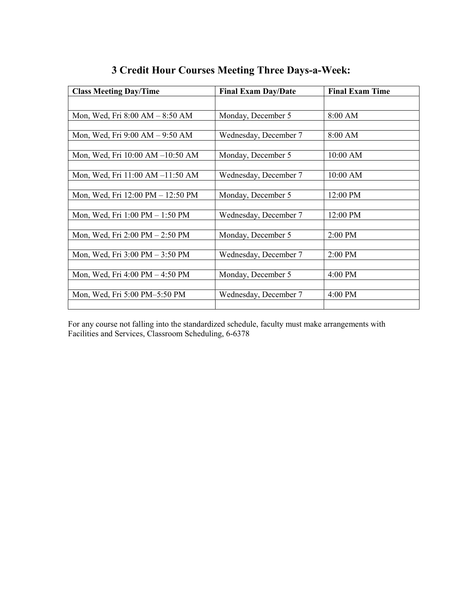| <b>Class Meeting Day/Time</b>                     | <b>Final Exam Day/Date</b> | <b>Final Exam Time</b> |
|---------------------------------------------------|----------------------------|------------------------|
|                                                   |                            |                        |
| Mon, Wed, Fri 8:00 AM - 8:50 AM                   | Monday, December 5         | 8:00 AM                |
|                                                   |                            |                        |
| Mon, Wed, Fri 9:00 AM - 9:50 AM                   | Wednesday, December 7      | 8:00 AM                |
|                                                   |                            |                        |
| Mon, Wed, Fri 10:00 AM -10:50 AM                  | Monday, December 5         | 10:00 AM               |
|                                                   |                            |                        |
| Mon, Wed, Fri 11:00 AM -11:50 AM                  | Wednesday, December 7      | 10:00 AM               |
|                                                   |                            |                        |
| Mon, Wed, Fri 12:00 PM - 12:50 PM                 | Monday, December 5         | 12:00 PM               |
|                                                   |                            |                        |
| Mon, Wed, Fri 1:00 PM - 1:50 PM                   | Wednesday, December 7      | 12:00 PM               |
|                                                   |                            |                        |
| Mon, Wed, Fri 2:00 PM - 2:50 PM                   | Monday, December 5         | 2:00 PM                |
|                                                   |                            |                        |
| Mon, Wed, Fri $3:00 \text{ PM} - 3:50 \text{ PM}$ | Wednesday, December 7      | 2:00 PM                |
|                                                   |                            |                        |
| Mon, Wed, Fri 4:00 PM - 4:50 PM                   | Monday, December 5         | 4:00 PM                |
|                                                   |                            |                        |
| Mon, Wed, Fri 5:00 PM-5:50 PM                     | Wednesday, December 7      | 4:00 PM                |
|                                                   |                            |                        |

# 3 Credit Hour Courses Meeting Three Days-a-Week: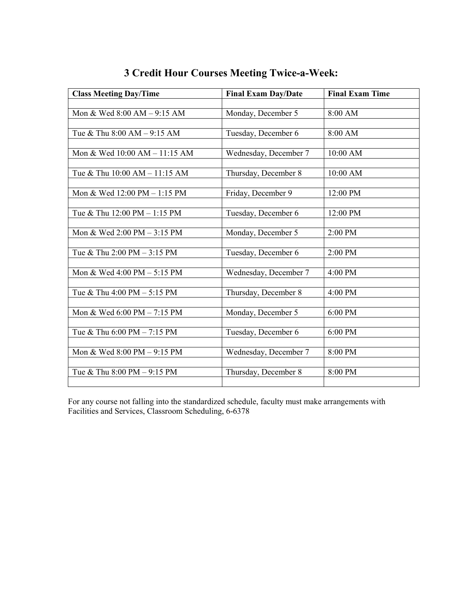| <b>Class Meeting Day/Time</b> | <b>Final Exam Day/Date</b> | <b>Final Exam Time</b> |
|-------------------------------|----------------------------|------------------------|
|                               |                            |                        |
| Mon & Wed 8:00 AM - 9:15 AM   | Monday, December 5         | 8:00 AM                |
|                               |                            |                        |
| Tue & Thu 8:00 AM - 9:15 AM   | Tuesday, December 6        | 8:00 AM                |
|                               |                            |                        |
| Mon & Wed 10:00 AM - 11:15 AM | Wednesday, December 7      | 10:00 AM               |
|                               |                            |                        |
| Tue & Thu 10:00 AM - 11:15 AM | Thursday, December 8       | 10:00 AM               |
| Mon & Wed 12:00 PM - 1:15 PM  | Friday, December 9         | 12:00 PM               |
|                               |                            |                        |
| Tue & Thu 12:00 PM - 1:15 PM  | Tuesday, December 6        | 12:00 PM               |
|                               |                            |                        |
| Mon & Wed 2:00 PM - 3:15 PM   | Monday, December 5         | 2:00 PM                |
|                               |                            |                        |
| Tue & Thu 2:00 PM - 3:15 PM   | Tuesday, December 6        | 2:00 PM                |
|                               |                            |                        |
| Mon & Wed 4:00 PM - 5:15 PM   | Wednesday, December 7      | 4:00 PM                |
|                               |                            |                        |
| Tue & Thu 4:00 PM - 5:15 PM   | Thursday, December 8       | 4:00 PM                |
|                               |                            |                        |
| Mon & Wed 6:00 PM - 7:15 PM   | Monday, December 5         | 6:00 PM                |
| Tue & Thu 6:00 PM - 7:15 PM   | Tuesday, December 6        | 6:00 PM                |
|                               |                            |                        |
| Mon & Wed 8:00 PM - 9:15 PM   | Wednesday, December 7      | 8:00 PM                |
|                               |                            |                        |
| Tue & Thu 8:00 PM - 9:15 PM   | Thursday, December 8       | 8:00 PM                |
|                               |                            |                        |

# 3 Credit Hour Courses Meeting Twice-a-Week: